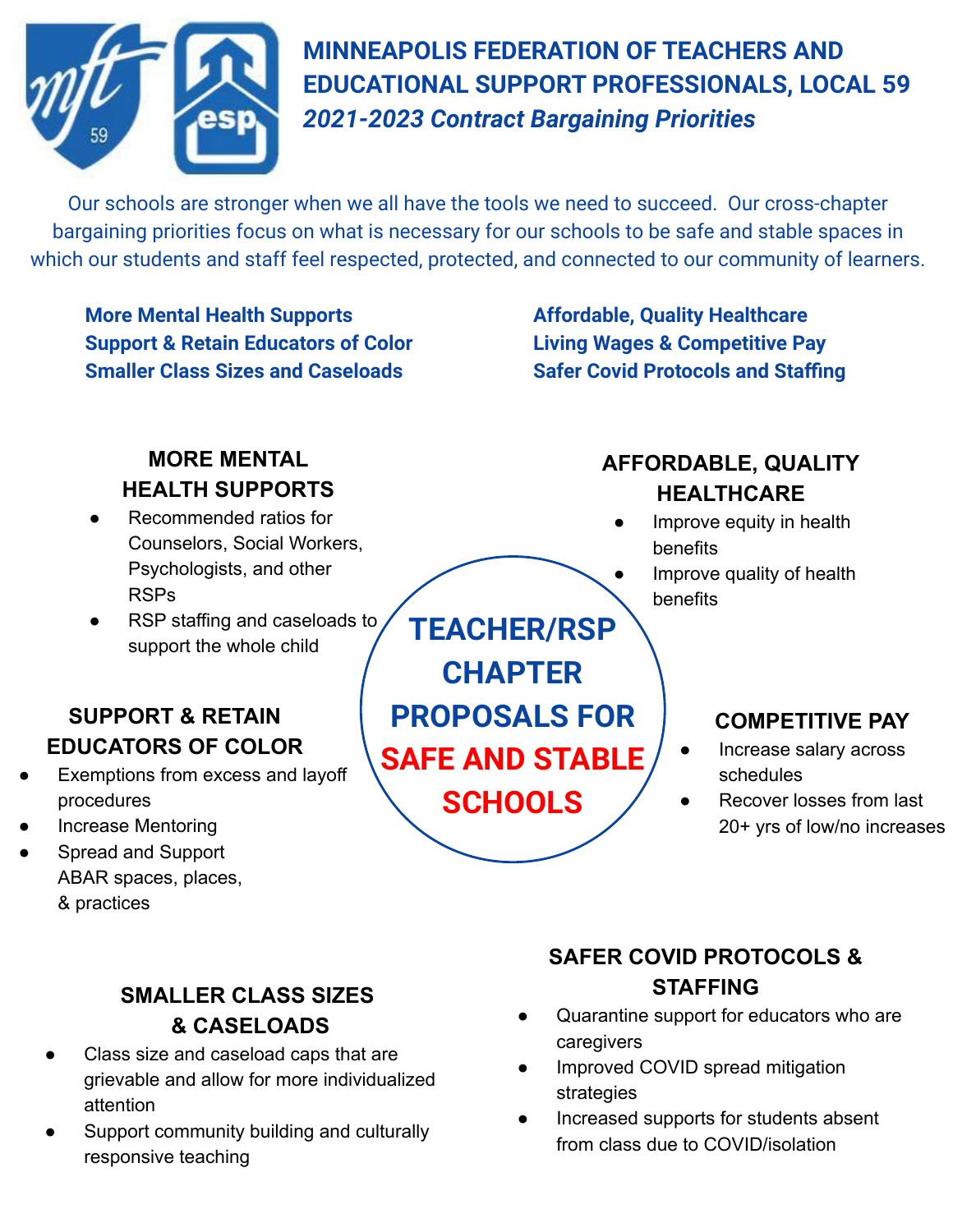

**MINNEAPOLIS FEDERATION OF TEACHERS AND EDUCATIONAL SUPPORT PROFESSIONALS, LOCAL 59**  *2021-2023 Contract Bargaining Priorities*

Our schools are stronger when we all have the tools we need to succeed. Our cross-chapter bargaining priorities focus on what is necessary for our schools to be safe and stable spaces in which our students and staff feel respected, protected, and connected to our community of learners.

**More Mental Health Supports <b>Affordable**, Quality Healthcare **Support & Retain Educators of Color Living Wages & Competitive Pay Smaller Class Sizes and Caseloads Safer Covid Protocols and Staffing** 

#### **MORE MENTAL HEALTH SUPPORTS**

- Recommended ratios for Counselors, Social Workers, Psychologists, and other RSPs
- RSP staffing and caseloads to support the whole child

### **SUPPORT & RETAIN EDUCATORS OF COLOR**

- Exemptions from excess and layoff procedures
- Increase Mentoring
- Spread and Support ABAR spaces, places, & practices

**TEACHER/RSP CHAPTER PROPOSALS FOR SAFE AND STABLE SCHOOLS**

## **AFFORDABLE, QUALITY HEALTHCARE**

- Improve equity in health benefits
	- Improve quality of health benefits

## **COMPETITIVE PAY**

- Increase salary across schedules
- Recover losses from last 20+ yrs of low/no increases

### **SMALLER CLASS SIZES & CASELOADS**

- Class size and caseload caps that are grievable and allow for more individualized attention
- Support community building and culturally responsive teaching

## **SAFER COVID PROTOCOLS & STAFFING**

- Quarantine support for educators who are caregivers
- Improved COVID spread mitigation strategies
- Increased supports for students absent from class due to COVID/isolation